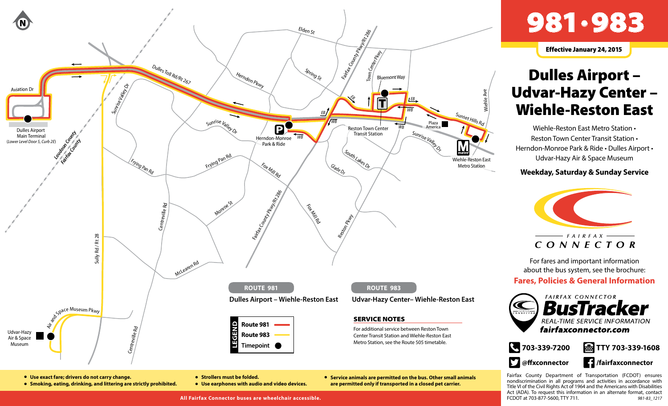

## 981•983

Effective January 24, 2015

## Dulles Airport – Udvar-Hazy Center – Wiehle-Reston East

Wiehle-Reston East Metro Station • Reston Town Center Transit Station • Herndon-Monroe Park & Ride • Dulles Airport • Udvar-Hazy Air & Space Museum

## **Weekday, Saturday & Sunday Service**



For fares and important information about the bus system, see the brochure:

## **Fares, Policies & General Information**





● **Service animals are permitted on the bus. Other small animals are permitted only if transported in a closed pet carrier.**

**External TTY 703-339-1608** 

**/fairfaxconnector**

Fairfax County Department of Transportation (FCDOT) ensures nondiscrimination in all programs and activities in accordance with Title VI of the Civil Rights Act of 1964 and the Americans with Disabilities Act (ADA). To request this information in an alternate format, contact FCDOT at 703-877-5600, TTY 711. *981-83\_1217*

**All Fairfax Connector buses are wheelchair accessible.**

● **Use earphones with audio and video devices.**

● **Strollers must be folded.**

● **Use exact fare; drivers do not carry change.**

● **Smoking, eating, drinking, and littering are strictly prohibited.**